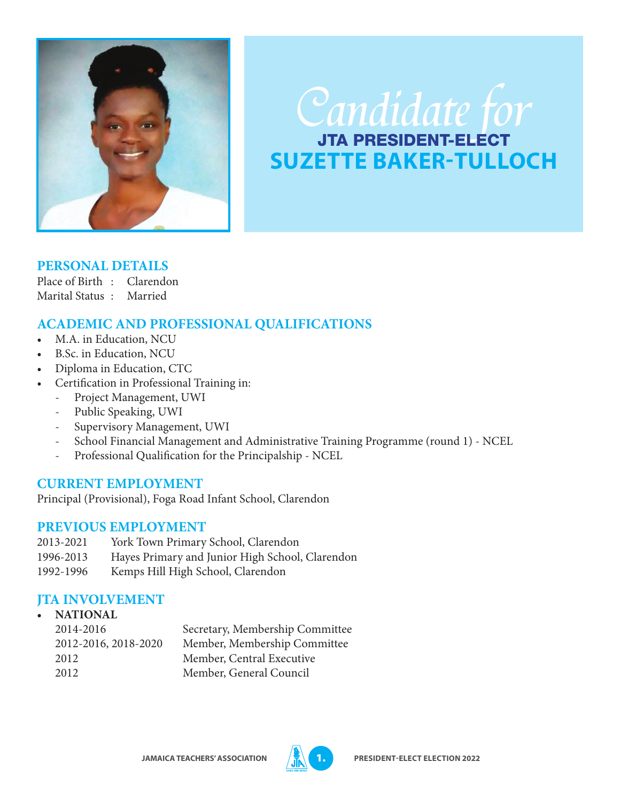

# Candidate for **SUZETTE BAKER-TULLOCH**

## **PERSONAL DETAILS**

Place of Birth : Clarendon Marital Status : Married

# **ACADEMIC AND PROFESSIONAL QUALIFICATIONS**

- M.A. in Education, NCU
- B.Sc. in Education, NCU
- Diploma in Education, CTC
- Certification in Professional Training in:
	- Project Management, UWI
	- Public Speaking, UWI
	- Supervisory Management, UWI
	- School Financial Management and Administrative Training Programme (round 1) NCEL
	- Professional Qualification for the Principalship NCEL

# **CURRENT EMPLOYMENT**

Principal (Provisional), Foga Road Infant School, Clarendon

## **PREVIOUS EMPLOYMENT**

- 2013-2021 York Town Primary School, Clarendon
- 1996-2013 Hayes Primary and Junior High School, Clarendon
- 1992-1996 Kemps Hill High School, Clarendon

# **JTA INVOLVEMENT**

| $\bullet$ | <b>NATIONAL</b>      |                                 |
|-----------|----------------------|---------------------------------|
|           | 2014-2016            | Secretary, Membership Committee |
|           | 2012-2016, 2018-2020 | Member, Membership Committee    |
|           | 2012                 | Member, Central Executive       |
|           | 2012                 | Member, General Council         |
|           |                      |                                 |